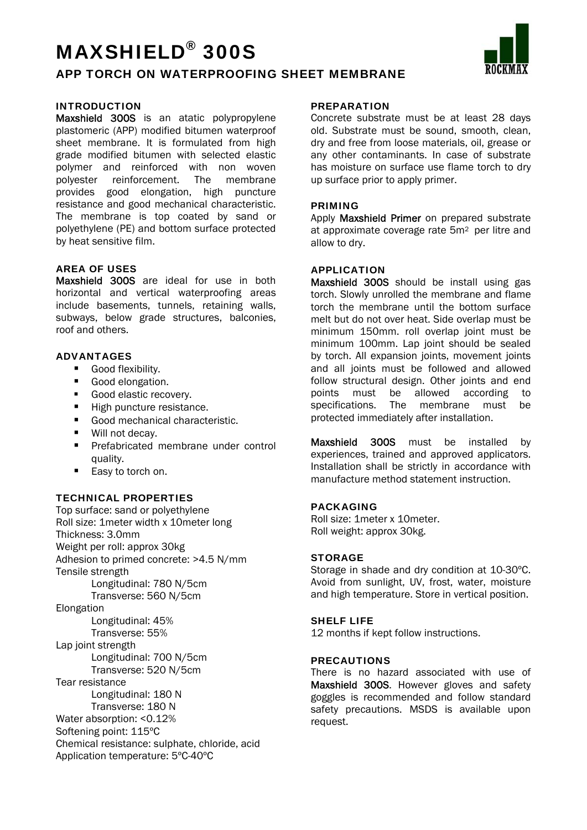## MAXSHIELD® 300S

### APP TORCH ON WATERPROOFING SHEET MEMBRANE

#### INTRODUCTION

Maxshield 300S is an atatic polypropylene plastomeric (APP) modified bitumen waterproof sheet membrane. It is formulated from high grade modified bitumen with selected elastic polymer and reinforced with non woven polyester reinforcement. The membrane provides good elongation, high puncture resistance and good mechanical characteristic. The membrane is top coated by sand or polyethylene (PE) and bottom surface protected by heat sensitive film.

#### AREA OF USES

Maxshield 300S are ideal for use in both horizontal and vertical waterproofing areas include basements, tunnels, retaining walls, subways, below grade structures, balconies, roof and others.

#### ADVANTAGES

- Good flexibility.
- Good elongation.
- Good elastic recovery.
- High puncture resistance.
- Good mechanical characteristic.
- Will not decay.
- **Prefabricated membrane under control** quality.
- Easy to torch on.

#### TECHNICAL PROPERTIES

Top surface: sand or polyethylene Roll size: 1meter width x 10meter long Thickness: 3.0mm Weight per roll: approx 30kg Adhesion to primed concrete: >4.5 N/mm Tensile strength Longitudinal: 780 N/5cm Transverse: 560 N/5cm Elongation Longitudinal: 45% Transverse: 55% Lap joint strength Longitudinal: 700 N/5cm Transverse: 520 N/5cm Tear resistance Longitudinal: 180 N Transverse: 180 N Water absorption: <0.12% Softening point: 115ºC Chemical resistance: sulphate, chloride, acid Application temperature: 5ºC-40ºC

#### **PREPARATION**

Concrete substrate must be at least 28 days old. Substrate must be sound, smooth, clean, dry and free from loose materials, oil, grease or any other contaminants. In case of substrate has moisture on surface use flame torch to dry up surface prior to apply primer.

#### PRIMING

Apply **Maxshield Primer** on prepared substrate at approximate coverage rate 5m<sup>2</sup> per litre and allow to dry.

#### APPLICATION

Maxshield 300S should be install using gas torch. Slowly unrolled the membrane and flame torch the membrane until the bottom surface melt but do not over heat. Side overlap must be minimum 150mm. roll overlap joint must be minimum 100mm. Lap joint should be sealed by torch. All expansion joints, movement joints and all joints must be followed and allowed follow structural design. Other joints and end points must be allowed according to specifications. The membrane must be protected immediately after installation.

Maxshield 300S must be installed by experiences, trained and approved applicators. Installation shall be strictly in accordance with manufacture method statement instruction.

#### PACKAGING

Roll size: 1meter x 10meter. Roll weight: approx 30kg.

#### **STORAGE**

Storage in shade and dry condition at 10-30ºC. Avoid from sunlight, UV, frost, water, moisture and high temperature. Store in vertical position.

#### SHELF LIFE

12 months if kept follow instructions.

#### PRECAUTIONS

There is no hazard associated with use of Maxshield 300S. However gloves and safety goggles is recommended and follow standard safety precautions. MSDS is available upon request.